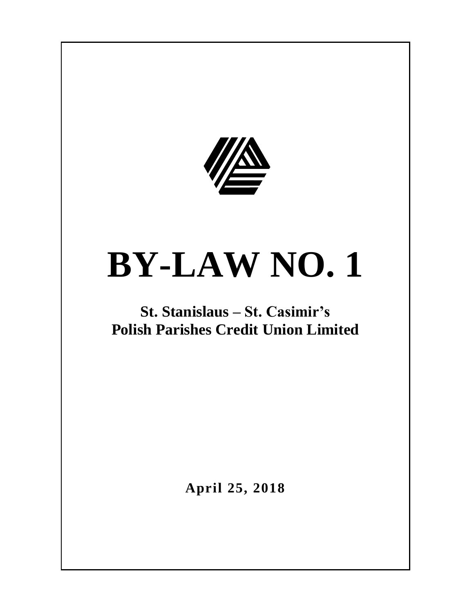

# **BY-LAW NO. 1**

## **St. Stanislaus – St. Casimir's Polish Parishes Credit Union Limited**

**April 25, 2018**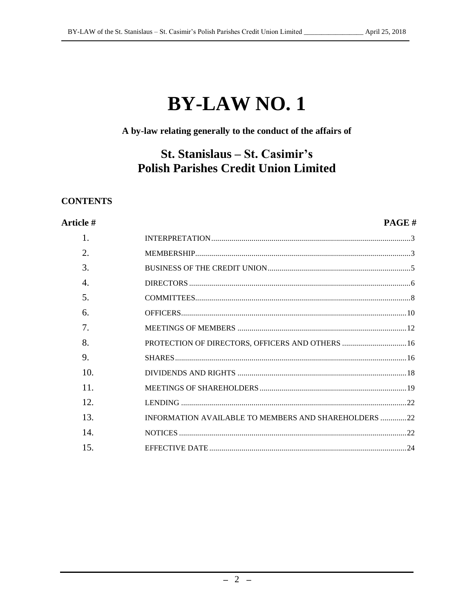## **BY-LAW NO. 1**

### A by-law relating generally to the conduct of the affairs of

## St. Stanislaus – St. Casimir's **Polish Parishes Credit Union Limited**

#### **CONTENTS**

#### Article #

#### PAGE#

| 1.                    |                                                      |  |
|-----------------------|------------------------------------------------------|--|
| 2.                    |                                                      |  |
| 3.                    |                                                      |  |
| $\mathcal{A}_{\cdot}$ |                                                      |  |
| 5.                    |                                                      |  |
| 6.                    |                                                      |  |
| 7.                    |                                                      |  |
| 8.                    | PROTECTION OF DIRECTORS, OFFICERS AND OTHERS  16     |  |
| 9.                    |                                                      |  |
| 10.                   |                                                      |  |
| 11                    |                                                      |  |
| 12.                   |                                                      |  |
| 13.                   | INFORMATION AVAILABLE TO MEMBERS AND SHAREHOLDERS 22 |  |
| 14                    |                                                      |  |
| 15.                   |                                                      |  |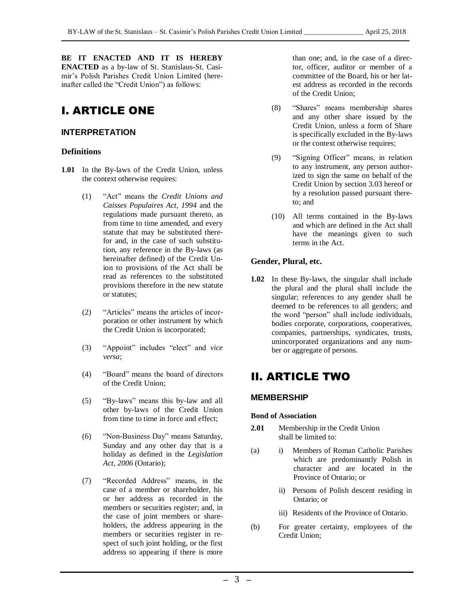**BE IT ENACTED AND IT IS HEREBY ENACTED** as a by-law of St. Stanislaus-St. Casimir's Polish Parishes Credit Union Limited (hereinafter called the "Credit Union") as follows:

## I. ARTICLE ONE

#### <span id="page-2-0"></span>**INTERPRETATION**

#### **Definitions**

- **1.01** In the By-laws of the Credit Union, unless the context otherwise requires:
	- (1) "Act" means the *Credit Unions and Caisses Populaires Act, 1994* and the regulations made pursuant thereto, as from time to time amended, and every statute that may be substituted therefor and, in the case of such substitution, any reference in the By-laws (as hereinafter defined) of the Credit Union to provisions of the Act shall be read as references to the substituted provisions therefore in the new statute or statutes;
	- (2) "Articles" means the articles of incorporation or other instrument by which the Credit Union is incorporated;
	- (3) "Appoint" includes "elect" and *vice versa*;
	- (4) "Board" means the board of directors of the Credit Union;
	- (5) "By-laws" means this by-law and all other by-laws of the Credit Union from time to time in force and effect;
	- (6) "Non-Business Day" means Saturday, Sunday and any other day that is a holiday as defined in the *Legislation Act, 2006* (Ontario);
	- (7) "Recorded Address" means, in the case of a member or shareholder, his or her address as recorded in the members or securities register; and, in the case of joint members or shareholders, the address appearing in the members or securities register in respect of such joint holding, or the first address so appearing if there is more

than one; and, in the case of a director, officer, auditor or member of a committee of the Board, his or her latest address as recorded in the records of the Credit Union;

- (8) "Shares" means membership shares and any other share issued by the Credit Union, unless a form of Share is specifically excluded in the By-laws or the context otherwise requires;
- (9) "Signing Officer" means, in relation to any instrument, any person authorized to sign the same on behalf of the Credit Union by section 3.03 hereof or by a resolution passed pursuant thereto; and
- (10) All terms contained in the By-laws and which are defined in the Act shall have the meanings given to such terms in the Act.

#### **Gender, Plural, etc.**

**1.02** In these By-laws, the singular shall include the plural and the plural shall include the singular; references to any gender shall be deemed to be references to all genders; and the word "person" shall include individuals, bodies corporate, corporations, cooperatives, companies, partnerships, syndicates, trusts, unincorporated organizations and any number or aggregate of persons.

## II. ARTICLE TWO

#### <span id="page-2-1"></span>**MEMBERSHIP**

#### **Bond of Association**

- **2.01** Membership in the Credit Union shall be limited to:
- (a) i) Members of Roman Catholic Parishes which are predominantly Polish in character and are located in the Province of Ontario; or
	- ii) Persons of Polish descent residing in Ontario; or
	- iii) Residents of the Province of Ontario.
- (b) For greater certainty, employees of the Credit Union;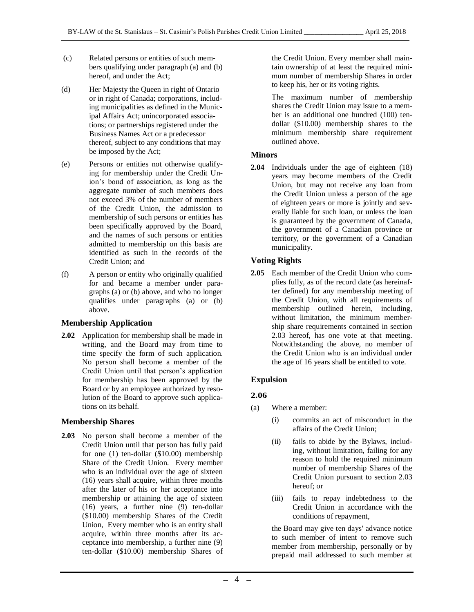- (c) Related persons or entities of such members qualifying under paragraph (a) and (b) hereof, and under the Act;
- (d) Her Majesty the Queen in right of Ontario or in right of Canada; corporations, including municipalities as defined in the Municipal Affairs Act; unincorporated associations; or partnerships registered under the Business Names Act or a predecessor thereof, subject to any conditions that may be imposed by the Act;
- (e) Persons or entities not otherwise qualifying for membership under the Credit Union's bond of association, as long as the aggregate number of such members does not exceed 3% of the number of members of the Credit Union, the admission to membership of such persons or entities has been specifically approved by the Board, and the names of such persons or entities admitted to membership on this basis are identified as such in the records of the Credit Union; and
- (f) A person or entity who originally qualified for and became a member under paragraphs (a) or (b) above, and who no longer qualifies under paragraphs (a) or (b) above.

#### **Membership Application**

**2.02** Application for membership shall be made in writing, and the Board may from time to time specify the form of such application. No person shall become a member of the Credit Union until that person's application for membership has been approved by the Board or by an employee authorized by resolution of the Board to approve such applications on its behalf.

#### **Membership Shares**

**2.03** No person shall become a member of the Credit Union until that person has fully paid for one (1) ten-dollar (\$10.00) membership Share of the Credit Union. Every member who is an individual over the age of sixteen (16) years shall acquire, within three months after the later of his or her acceptance into membership or attaining the age of sixteen (16) years, a further nine (9) ten-dollar (\$10.00) membership Shares of the Credit Union, Every member who is an entity shall acquire, within three months after its acceptance into membership, a further nine (9) ten-dollar (\$10.00) membership Shares of the Credit Union. Every member shall maintain ownership of at least the required minimum number of membership Shares in order to keep his, her or its voting rights.

The maximum number of membership shares the Credit Union may issue to a member is an additional one hundred (100) tendollar (\$10.00) membership shares to the minimum membership share requirement outlined above.

#### **Minors**

**2.04** Individuals under the age of eighteen (18) years may become members of the Credit Union, but may not receive any loan from the Credit Union unless a person of the age of eighteen years or more is jointly and severally liable for such loan, or unless the loan is guaranteed by the government of Canada, the government of a Canadian province or territory, or the government of a Canadian municipality.

#### **Voting Rights**

**2.05** Each member of the Credit Union who complies fully, as of the record date (as hereinafter defined) for any membership meeting of the Credit Union, with all requirements of membership outlined herein, including, without limitation, the minimum membership share requirements contained in section 2.03 hereof, has one vote at that meeting. Notwithstanding the above, no member of the Credit Union who is an individual under the age of 16 years shall be entitled to vote.

#### **Expulsion**

#### **2.06**

- (a) Where a member:
	- (i) commits an act of misconduct in the affairs of the Credit Union;
	- (ii) fails to abide by the Bylaws, including, without limitation, failing for any reason to hold the required minimum number of membership Shares of the Credit Union pursuant to section 2.03 hereof; or
	- (iii) fails to repay indebtedness to the Credit Union in accordance with the conditions of repayment,

the Board may give ten days' advance notice to such member of intent to remove such member from membership, personally or by prepaid mail addressed to such member at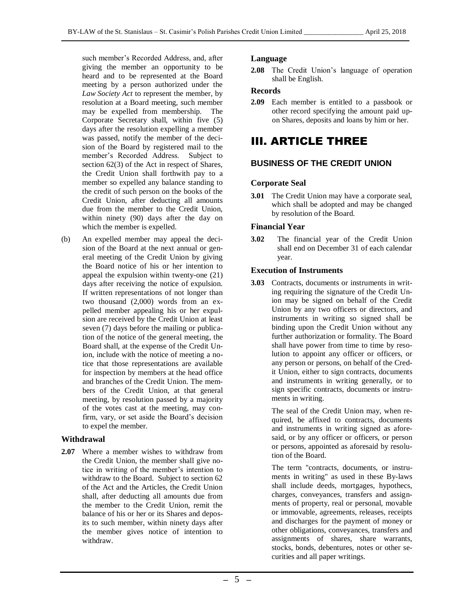such member's Recorded Address, and, after giving the member an opportunity to be heard and to be represented at the Board meeting by a person authorized under the *Law Society Act* to represent the member, by resolution at a Board meeting, such member may be expelled from membership. The Corporate Secretary shall, within five (5) days after the resolution expelling a member was passed, notify the member of the decision of the Board by registered mail to the member's Recorded Address. Subject to section 62(3) of the Act in respect of Shares, the Credit Union shall forthwith pay to a member so expelled any balance standing to the credit of such person on the books of the Credit Union, after deducting all amounts due from the member to the Credit Union, within ninety (90) days after the day on which the member is expelled.

(b) An expelled member may appeal the decision of the Board at the next annual or general meeting of the Credit Union by giving the Board notice of his or her intention to appeal the expulsion within twenty-one (21) days after receiving the notice of expulsion. If written representations of not longer than two thousand (2,000) words from an expelled member appealing his or her expulsion are received by the Credit Union at least seven (7) days before the mailing or publication of the notice of the general meeting, the Board shall, at the expense of the Credit Union, include with the notice of meeting a notice that those representations are available for inspection by members at the head office and branches of the Credit Union. The members of the Credit Union, at that general meeting, by resolution passed by a majority of the votes cast at the meeting, may confirm, vary, or set aside the Board's decision to expel the member.

#### **Withdrawal**

**2.07** Where a member wishes to withdraw from the Credit Union, the member shall give notice in writing of the member's intention to withdraw to the Board. Subject to section 62 of the Act and the Articles, the Credit Union shall, after deducting all amounts due from the member to the Credit Union, remit the balance of his or her or its Shares and deposits to such member, within ninety days after the member gives notice of intention to withdraw.

#### **Language**

**2.08** The Credit Union's language of operation shall be English.

#### **Records**

**2.09** Each member is entitled to a passbook or other record specifying the amount paid upon Shares, deposits and loans by him or her.

## III. ARTICLE THREE

#### <span id="page-4-0"></span>**BUSINESS OF THE CREDIT UNION**

#### **Corporate Seal**

**3.01** The Credit Union may have a corporate seal, which shall be adopted and may be changed by resolution of the Board.

#### **Financial Year**

**3.02** The financial year of the Credit Union shall end on December 31 of each calendar year.

#### **Execution of Instruments**

**3.03** Contracts, documents or instruments in writing requiring the signature of the Credit Union may be signed on behalf of the Credit Union by any two officers or directors, and instruments in writing so signed shall be binding upon the Credit Union without any further authorization or formality. The Board shall have power from time to time by resolution to appoint any officer or officers, or any person or persons, on behalf of the Credit Union, either to sign contracts, documents and instruments in writing generally, or to sign specific contracts, documents or instruments in writing.

> The seal of the Credit Union may, when required, be affixed to contracts, documents and instruments in writing signed as aforesaid, or by any officer or officers, or person or persons, appointed as aforesaid by resolution of the Board.

> The term "contracts, documents, or instruments in writing" as used in these By-laws shall include deeds, mortgages, hypothecs, charges, conveyances, transfers and assignments of property, real or personal, movable or immovable, agreements, releases, receipts and discharges for the payment of money or other obligations, conveyances, transfers and assignments of shares, share warrants, stocks, bonds, debentures, notes or other securities and all paper writings.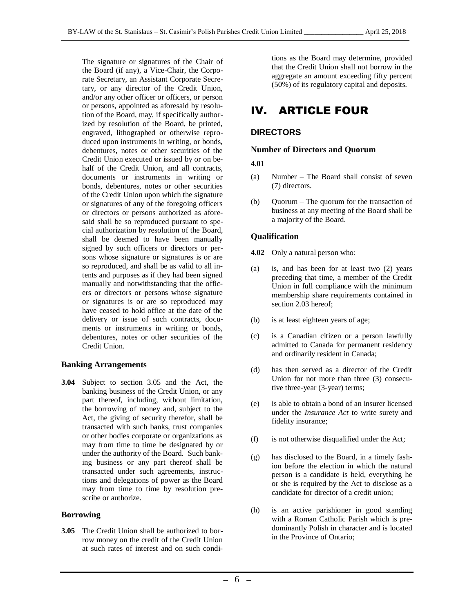The signature or signatures of the Chair of the Board (if any), a Vice-Chair, the Corporate Secretary, an Assistant Corporate Secretary, or any director of the Credit Union, and/or any other officer or officers, or person or persons, appointed as aforesaid by resolution of the Board, may, if specifically authorized by resolution of the Board, be printed, engraved, lithographed or otherwise reproduced upon instruments in writing, or bonds, debentures, notes or other securities of the Credit Union executed or issued by or on behalf of the Credit Union, and all contracts, documents or instruments in writing or bonds, debentures, notes or other securities of the Credit Union upon which the signature or signatures of any of the foregoing officers or directors or persons authorized as aforesaid shall be so reproduced pursuant to special authorization by resolution of the Board, shall be deemed to have been manually signed by such officers or directors or persons whose signature or signatures is or are so reproduced, and shall be as valid to all intents and purposes as if they had been signed manually and notwithstanding that the officers or directors or persons whose signature or signatures is or are so reproduced may have ceased to hold office at the date of the delivery or issue of such contracts, documents or instruments in writing or bonds, debentures, notes or other securities of the Credit Union.

#### **Banking Arrangements**

**3.04** Subject to section 3.05 and the Act, the banking business of the Credit Union, or any part thereof, including, without limitation, the borrowing of money and, subject to the Act, the giving of security therefor, shall be transacted with such banks, trust companies or other bodies corporate or organizations as may from time to time be designated by or under the authority of the Board. Such banking business or any part thereof shall be transacted under such agreements, instructions and delegations of power as the Board may from time to time by resolution prescribe or authorize.

#### **Borrowing**

**3.05** The Credit Union shall be authorized to borrow money on the credit of the Credit Union at such rates of interest and on such condi<span id="page-5-0"></span>tions as the Board may determine, provided that the Credit Union shall not borrow in the aggregate an amount exceeding fifty percent (50%) of its regulatory capital and deposits.

## IV. ARTICLE FOUR

#### **DIRECTORS**

#### **Number of Directors and Quorum**

#### **4.01**

- (a) Number The Board shall consist of seven (7) directors.
- (b) Quorum The quorum for the transaction of business at any meeting of the Board shall be a majority of the Board.

#### **Qualification**

**4.02** Only a natural person who:

- (a) is, and has been for at least two (2) years preceding that time, a member of the Credit Union in full compliance with the minimum membership share requirements contained in section 2.03 hereof;
- (b) is at least eighteen years of age;
- (c) is a Canadian citizen or a person lawfully admitted to Canada for permanent residency and ordinarily resident in Canada;
- (d) has then served as a director of the Credit Union for not more than three (3) consecutive three-year (3-year) terms;
- (e) is able to obtain a bond of an insurer licensed under the *Insurance Act* to write surety and fidelity insurance;
- (f) is not otherwise disqualified under the Act;
- (g) has disclosed to the Board, in a timely fashion before the election in which the natural person is a candidate is held, everything he or she is required by the Act to disclose as a candidate for director of a credit union;
- (h) is an active parishioner in good standing with a Roman Catholic Parish which is predominantly Polish in character and is located in the Province of Ontario;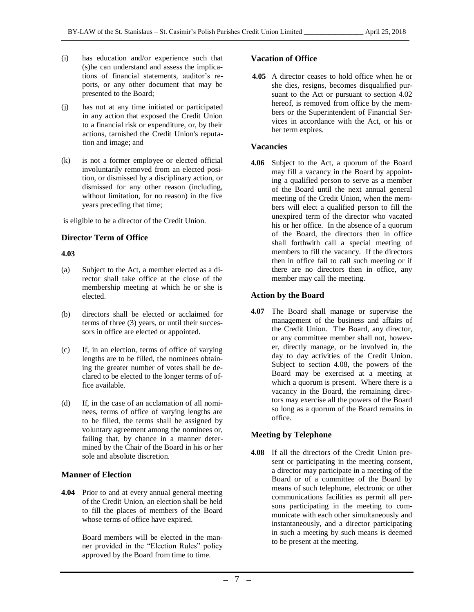- (i) has education and/or experience such that (s)he can understand and assess the implications of financial statements, auditor's reports, or any other document that may be presented to the Board;
- (j) has not at any time initiated or participated in any action that exposed the Credit Union to a financial risk or expenditure, or, by their actions, tarnished the Credit Union's reputation and image; and
- (k) is not a former employee or elected official involuntarily removed from an elected position, or dismissed by a disciplinary action, or dismissed for any other reason (including, without limitation, for no reason) in the five years preceding that time;

is eligible to be a director of the Credit Union.

#### **Director Term of Office**

#### **4.03**

- (a) Subject to the Act, a member elected as a director shall take office at the close of the membership meeting at which he or she is elected.
- (b) directors shall be elected or acclaimed for terms of three (3) years, or until their successors in office are elected or appointed.
- (c) If, in an election, terms of office of varying lengths are to be filled, the nominees obtaining the greater number of votes shall be declared to be elected to the longer terms of office available.
- (d) If, in the case of an acclamation of all nominees, terms of office of varying lengths are to be filled, the terms shall be assigned by voluntary agreement among the nominees or, failing that, by chance in a manner determined by the Chair of the Board in his or her sole and absolute discretion.

#### **Manner of Election**

**4.04** Prior to and at every annual general meeting of the Credit Union, an election shall be held to fill the places of members of the Board whose terms of office have expired.

> Board members will be elected in the manner provided in the "Election Rules" policy approved by the Board from time to time.

#### **Vacation of Office**

**4.05** A director ceases to hold office when he or she dies, resigns, becomes disqualified pursuant to the Act or pursuant to section 4.02 hereof, is removed from office by the members or the Superintendent of Financial Services in accordance with the Act, or his or her term expires.

#### **Vacancies**

**4.06** Subject to the Act, a quorum of the Board may fill a vacancy in the Board by appointing a qualified person to serve as a member of the Board until the next annual general meeting of the Credit Union, when the members will elect a qualified person to fill the unexpired term of the director who vacated his or her office. In the absence of a quorum of the Board, the directors then in office shall forthwith call a special meeting of members to fill the vacancy. If the directors then in office fail to call such meeting or if there are no directors then in office, any member may call the meeting.

#### **Action by the Board**

**4.07** The Board shall manage or supervise the management of the business and affairs of the Credit Union. The Board, any director, or any committee member shall not, however, directly manage, or be involved in, the day to day activities of the Credit Union. Subject to section 4.08, the powers of the Board may be exercised at a meeting at which a quorum is present. Where there is a vacancy in the Board, the remaining directors may exercise all the powers of the Board so long as a quorum of the Board remains in office.

#### **Meeting by Telephone**

**4.08** If all the directors of the Credit Union present or participating in the meeting consent, a director may participate in a meeting of the Board or of a committee of the Board by means of such telephone, electronic or other communications facilities as permit all persons participating in the meeting to communicate with each other simultaneously and instantaneously, and a director participating in such a meeting by such means is deemed to be present at the meeting.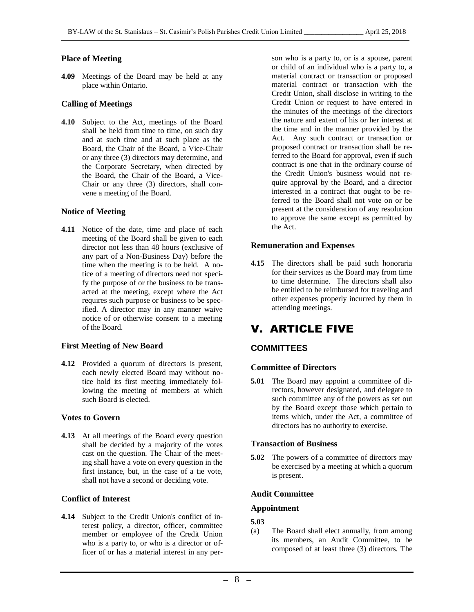#### **Place of Meeting**

**4.09** Meetings of the Board may be held at any place within Ontario.

#### **Calling of Meetings**

**4.10** Subject to the Act, meetings of the Board shall be held from time to time, on such day and at such time and at such place as the Board, the Chair of the Board, a Vice-Chair or any three (3) directors may determine, and the Corporate Secretary, when directed by the Board, the Chair of the Board, a Vice-Chair or any three (3) directors, shall convene a meeting of the Board.

#### **Notice of Meeting**

**4.11** Notice of the date, time and place of each meeting of the Board shall be given to each director not less than 48 hours (exclusive of any part of a Non-Business Day) before the time when the meeting is to be held. A notice of a meeting of directors need not specify the purpose of or the business to be transacted at the meeting, except where the Act requires such purpose or business to be specified. A director may in any manner waive notice of or otherwise consent to a meeting of the Board.

#### **First Meeting of New Board**

**4.12** Provided a quorum of directors is present, each newly elected Board may without notice hold its first meeting immediately following the meeting of members at which such Board is elected.

#### **Votes to Govern**

**4.13** At all meetings of the Board every question shall be decided by a majority of the votes cast on the question. The Chair of the meeting shall have a vote on every question in the first instance, but, in the case of a tie vote, shall not have a second or deciding vote.

#### **Conflict of Interest**

**4.14** Subject to the Credit Union's conflict of interest policy, a director, officer, committee member or employee of the Credit Union who is a party to, or who is a director or officer of or has a material interest in any person who is a party to, or is a spouse, parent or child of an individual who is a party to, a material contract or transaction or proposed material contract or transaction with the Credit Union, shall disclose in writing to the Credit Union or request to have entered in the minutes of the meetings of the directors the nature and extent of his or her interest at the time and in the manner provided by the Act. Any such contract or transaction or proposed contract or transaction shall be referred to the Board for approval, even if such contract is one that in the ordinary course of the Credit Union's business would not require approval by the Board, and a director interested in a contract that ought to be referred to the Board shall not vote on or be present at the consideration of any resolution to approve the same except as permitted by the Act.

#### **Remuneration and Expenses**

**4.15** The directors shall be paid such honoraria for their services as the Board may from time to time determine. The directors shall also be entitled to be reimbursed for traveling and other expenses properly incurred by them in attending meetings.

## V. ARTICLE FIVE

#### <span id="page-7-0"></span>**COMMITTEES**

#### **Committee of Directors**

**5.01** The Board may appoint a committee of directors, however designated, and delegate to such committee any of the powers as set out by the Board except those which pertain to items which, under the Act, a committee of directors has no authority to exercise.

#### **Transaction of Business**

**5.02** The powers of a committee of directors may be exercised by a meeting at which a quorum is present.

#### **Audit Committee**

#### **Appointment**

#### **5.03**

(a) The Board shall elect annually, from among its members, an Audit Committee, to be composed of at least three (3) directors. The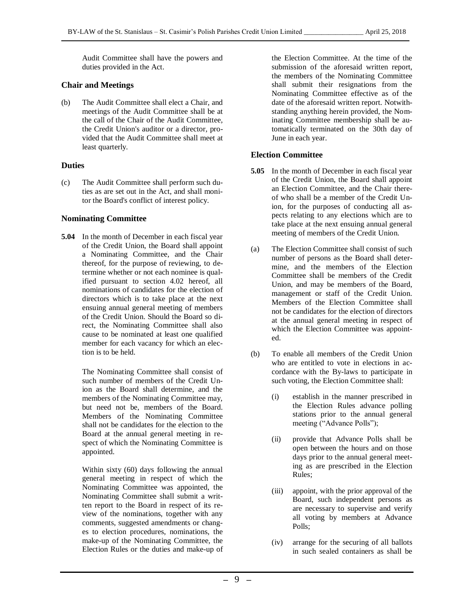Audit Committee shall have the powers and duties provided in the Act.

#### **Chair and Meetings**

(b) The Audit Committee shall elect a Chair, and meetings of the Audit Committee shall be at the call of the Chair of the Audit Committee, the Credit Union's auditor or a director, provided that the Audit Committee shall meet at least quarterly.

#### **Duties**

(c) The Audit Committee shall perform such duties as are set out in the Act, and shall monitor the Board's conflict of interest policy.

#### **Nominating Committee**

**5.04** In the month of December in each fiscal year of the Credit Union, the Board shall appoint a Nominating Committee, and the Chair thereof, for the purpose of reviewing, to determine whether or not each nominee is qualified pursuant to section 4.02 hereof, all nominations of candidates for the election of directors which is to take place at the next ensuing annual general meeting of members of the Credit Union. Should the Board so direct, the Nominating Committee shall also cause to be nominated at least one qualified member for each vacancy for which an election is to be held.

> The Nominating Committee shall consist of such number of members of the Credit Union as the Board shall determine, and the members of the Nominating Committee may, but need not be, members of the Board. Members of the Nominating Committee shall not be candidates for the election to the Board at the annual general meeting in respect of which the Nominating Committee is appointed.

> Within sixty (60) days following the annual general meeting in respect of which the Nominating Committee was appointed, the Nominating Committee shall submit a written report to the Board in respect of its review of the nominations, together with any comments, suggested amendments or changes to election procedures, nominations, the make-up of the Nominating Committee, the Election Rules or the duties and make-up of

the Election Committee. At the time of the submission of the aforesaid written report, the members of the Nominating Committee shall submit their resignations from the Nominating Committee effective as of the date of the aforesaid written report. Notwithstanding anything herein provided, the Nominating Committee membership shall be automatically terminated on the 30th day of June in each year.

#### **Election Committee**

- **5.05** In the month of December in each fiscal year of the Credit Union, the Board shall appoint an Election Committee, and the Chair thereof who shall be a member of the Credit Union, for the purposes of conducting all aspects relating to any elections which are to take place at the next ensuing annual general meeting of members of the Credit Union.
- (a) The Election Committee shall consist of such number of persons as the Board shall determine, and the members of the Election Committee shall be members of the Credit Union, and may be members of the Board, management or staff of the Credit Union. Members of the Election Committee shall not be candidates for the election of directors at the annual general meeting in respect of which the Election Committee was appointed.
- (b) To enable all members of the Credit Union who are entitled to vote in elections in accordance with the By-laws to participate in such voting, the Election Committee shall:
	- (i) establish in the manner prescribed in the Election Rules advance polling stations prior to the annual general meeting ("Advance Polls");
	- (ii) provide that Advance Polls shall be open between the hours and on those days prior to the annual general meeting as are prescribed in the Election Rules;
	- (iii) appoint, with the prior approval of the Board, such independent persons as are necessary to supervise and verify all voting by members at Advance Polls;
	- (iv) arrange for the securing of all ballots in such sealed containers as shall be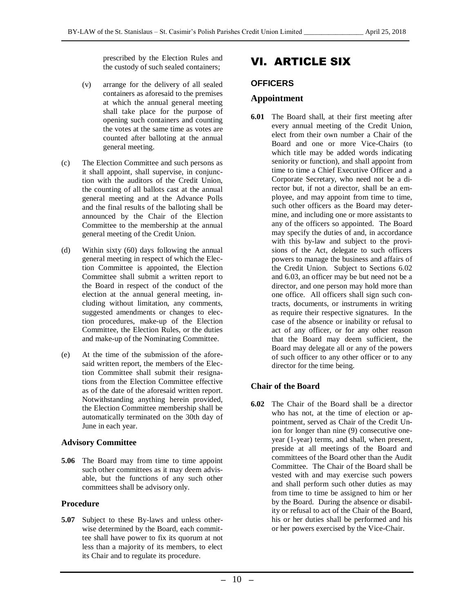prescribed by the Election Rules and the custody of such sealed containers;

- (v) arrange for the delivery of all sealed containers as aforesaid to the premises at which the annual general meeting shall take place for the purpose of opening such containers and counting the votes at the same time as votes are counted after balloting at the annual general meeting.
- (c) The Election Committee and such persons as it shall appoint, shall supervise, in conjunction with the auditors of the Credit Union, the counting of all ballots cast at the annual general meeting and at the Advance Polls and the final results of the balloting shall be announced by the Chair of the Election Committee to the membership at the annual general meeting of the Credit Union.
- (d) Within sixty (60) days following the annual general meeting in respect of which the Election Committee is appointed, the Election Committee shall submit a written report to the Board in respect of the conduct of the election at the annual general meeting, including without limitation, any comments, suggested amendments or changes to election procedures, make-up of the Election Committee, the Election Rules, or the duties and make-up of the Nominating Committee.
- (e) At the time of the submission of the aforesaid written report, the members of the Election Committee shall submit their resignations from the Election Committee effective as of the date of the aforesaid written report. Notwithstanding anything herein provided, the Election Committee membership shall be automatically terminated on the 30th day of June in each year.

#### **Advisory Committee**

**5.06** The Board may from time to time appoint such other committees as it may deem advisable, but the functions of any such other committees shall be advisory only.

#### **Procedure**

**5.07** Subject to these By-laws and unless otherwise determined by the Board, each committee shall have power to fix its quorum at not less than a majority of its members, to elect its Chair and to regulate its procedure.

## VI. ARTICLE SIX

#### <span id="page-9-0"></span>**OFFICERS**

#### **Appointment**

**6.01** The Board shall, at their first meeting after every annual meeting of the Credit Union, elect from their own number a Chair of the Board and one or more Vice-Chairs (to which title may be added words indicating seniority or function), and shall appoint from time to time a Chief Executive Officer and a Corporate Secretary, who need not be a director but, if not a director, shall be an employee, and may appoint from time to time, such other officers as the Board may determine, and including one or more assistants to any of the officers so appointed. The Board may specify the duties of and, in accordance with this by-law and subject to the provisions of the Act, delegate to such officers powers to manage the business and affairs of the Credit Union. Subject to Sections 6.02 and 6.03, an officer may be but need not be a director, and one person may hold more than one office. All officers shall sign such contracts, documents, or instruments in writing as require their respective signatures. In the case of the absence or inability or refusal to act of any officer, or for any other reason that the Board may deem sufficient, the Board may delegate all or any of the powers of such officer to any other officer or to any director for the time being.

#### **Chair of the Board**

**6.02** The Chair of the Board shall be a director who has not, at the time of election or appointment, served as Chair of the Credit Union for longer than nine (9) consecutive oneyear (1-year) terms, and shall, when present, preside at all meetings of the Board and committees of the Board other than the Audit Committee. The Chair of the Board shall be vested with and may exercise such powers and shall perform such other duties as may from time to time be assigned to him or her by the Board. During the absence or disability or refusal to act of the Chair of the Board, his or her duties shall be performed and his or her powers exercised by the Vice-Chair.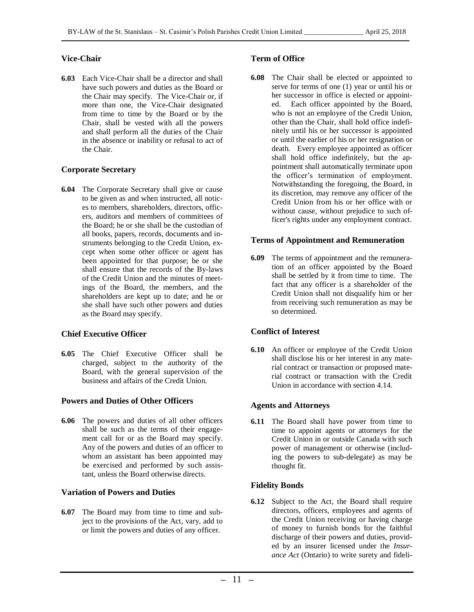#### **Vice-Chair**

**6.03** Each Vice-Chair shall be a director and shall have such powers and duties as the Board or the Chair may specify. The Vice-Chair or, if more than one, the Vice-Chair designated from time to time by the Board or by the Chair, shall be vested with all the powers and shall perform all the duties of the Chair in the absence or inability or refusal to act of the Chair.

#### **Corporate Secretary**

**6.04** The Corporate Secretary shall give or cause to be given as and when instructed, all notices to members, shareholders, directors, officers, auditors and members of committees of the Board; he or she shall be the custodian of all books, papers, records, documents and instruments belonging to the Credit Union, except when some other officer or agent has been appointed for that purpose; he or she shall ensure that the records of the By-laws of the Credit Union and the minutes of meetings of the Board, the members, and the shareholders are kept up to date; and he or she shall have such other powers and duties as the Board may specify.

#### **Chief Executive Officer**

**6.05** The Chief Executive Officer shall be charged, subject to the authority of the Board, with the general supervision of the business and affairs of the Credit Union.

#### **Powers and Duties of Other Officers**

**6.06** The powers and duties of all other officers shall be such as the terms of their engagement call for or as the Board may specify. Any of the powers and duties of an officer to whom an assistant has been appointed may be exercised and performed by such assistant, unless the Board otherwise directs.

#### **Variation of Powers and Duties**

**6.07** The Board may from time to time and subject to the provisions of the Act, vary, add to or limit the powers and duties of any officer.

#### **Term of Office**

**6.08** The Chair shall be elected or appointed to serve for terms of one (1) year or until his or her successor in office is elected or appointed. Each officer appointed by the Board, who is not an employee of the Credit Union, other than the Chair, shall hold office indefinitely until his or her successor is appointed or until the earlier of his or her resignation or death. Every employee appointed as officer shall hold office indefinitely, but the appointment shall automatically terminate upon the officer's termination of employment. Notwithstanding the foregoing, the Board, in its discretion, may remove any officer of the Credit Union from his or her office with or without cause, without prejudice to such officer's rights under any employment contract.

#### **Terms of Appointment and Remuneration**

**6.09** The terms of appointment and the remuneration of an officer appointed by the Board shall be settled by it from time to time. The fact that any officer is a shareholder of the Credit Union shall not disqualify him or her from receiving such remuneration as may be so determined.

#### **Conflict of Interest**

**6.10** An officer or employee of the Credit Union shall disclose his or her interest in any material contract or transaction or proposed material contract or transaction with the Credit Union in accordance with section 4.14.

#### **Agents and Attorneys**

**6.11** The Board shall have power from time to time to appoint agents or attorneys for the Credit Union in or outside Canada with such power of management or otherwise (including the powers to sub-delegate) as may be thought fit.

#### **Fidelity Bonds**

**6.12** Subject to the Act, the Board shall require directors, officers, employees and agents of the Credit Union receiving or having charge of money to furnish bonds for the faithful discharge of their powers and duties, provided by an insurer licensed under the *Insurance Act* (Ontario) to write surety and fideli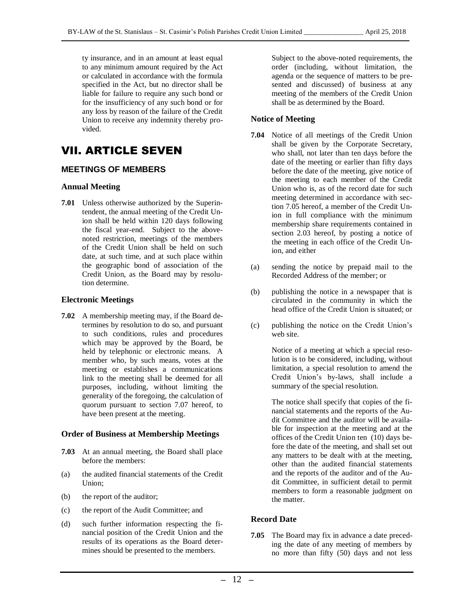ty insurance, and in an amount at least equal to any minimum amount required by the Act or calculated in accordance with the formula specified in the Act, but no director shall be liable for failure to require any such bond or for the insufficiency of any such bond or for any loss by reason of the failure of the Credit Union to receive any indemnity thereby provided.

## VII. ARTICLE SEVEN

#### <span id="page-11-0"></span>**MEETINGS OF MEMBERS**

#### **Annual Meeting**

**7.01** Unless otherwise authorized by the Superintendent, the annual meeting of the Credit Union shall be held within 120 days following the fiscal year-end. Subject to the abovenoted restriction, meetings of the members of the Credit Union shall be held on such date, at such time, and at such place within the geographic bond of association of the Credit Union, as the Board may by resolution determine.

#### **Electronic Meetings**

**7.02** A membership meeting may, if the Board determines by resolution to do so, and pursuant to such conditions, rules and procedures which may be approved by the Board, be held by telephonic or electronic means. A member who, by such means, votes at the meeting or establishes a communications link to the meeting shall be deemed for all purposes, including, without limiting the generality of the foregoing, the calculation of quorum pursuant to section 7.07 hereof, to have been present at the meeting.

#### **Order of Business at Membership Meetings**

- **7.03** At an annual meeting, the Board shall place before the members:
- (a) the audited financial statements of the Credit Union;
- (b) the report of the auditor;
- (c) the report of the Audit Committee; and
- (d) such further information respecting the financial position of the Credit Union and the results of its operations as the Board determines should be presented to the members.

Subject to the above-noted requirements, the order (including, without limitation, the agenda or the sequence of matters to be presented and discussed) of business at any meeting of the members of the Credit Union shall be as determined by the Board.

#### **Notice of Meeting**

- **7.04** Notice of all meetings of the Credit Union shall be given by the Corporate Secretary, who shall, not later than ten days before the date of the meeting or earlier than fifty days before the date of the meeting, give notice of the meeting to each member of the Credit Union who is, as of the record date for such meeting determined in accordance with section 7.05 hereof, a member of the Credit Union in full compliance with the minimum membership share requirements contained in section 2.03 hereof, by posting a notice of the meeting in each office of the Credit Union, and either
- (a) sending the notice by prepaid mail to the Recorded Address of the member; or
- (b) publishing the notice in a newspaper that is circulated in the community in which the head office of the Credit Union is situated; or
- (c) publishing the notice on the Credit Union's web site.

Notice of a meeting at which a special resolution is to be considered, including, without limitation, a special resolution to amend the Credit Union's by-laws, shall include a summary of the special resolution.

The notice shall specify that copies of the financial statements and the reports of the Audit Committee and the auditor will be available for inspection at the meeting and at the offices of the Credit Union ten (10) days before the date of the meeting, and shall set out any matters to be dealt with at the meeting, other than the audited financial statements and the reports of the auditor and of the Audit Committee, in sufficient detail to permit members to form a reasonable judgment on the matter.

#### **Record Date**

**7.05** The Board may fix in advance a date preceding the date of any meeting of members by no more than fifty (50) days and not less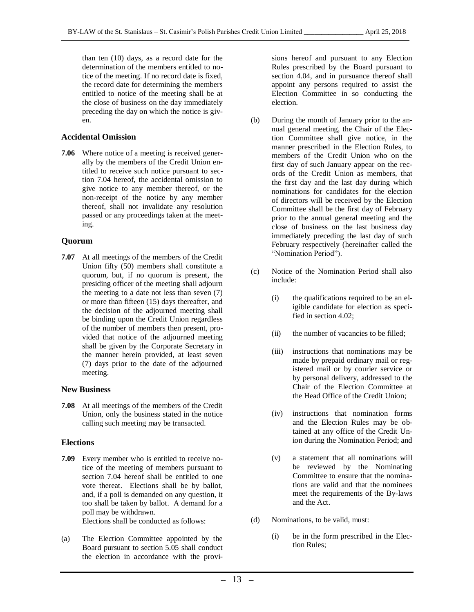than ten (10) days, as a record date for the determination of the members entitled to notice of the meeting. If no record date is fixed, the record date for determining the members entitled to notice of the meeting shall be at the close of business on the day immediately preceding the day on which the notice is given.

#### **Accidental Omission**

**7.06** Where notice of a meeting is received generally by the members of the Credit Union entitled to receive such notice pursuant to section 7.04 hereof, the accidental omission to give notice to any member thereof, or the non-receipt of the notice by any member thereof, shall not invalidate any resolution passed or any proceedings taken at the meeting.

#### **Quorum**

**7.07** At all meetings of the members of the Credit Union fifty (50) members shall constitute a quorum, but, if no quorum is present, the presiding officer of the meeting shall adjourn the meeting to a date not less than seven (7) or more than fifteen (15) days thereafter, and the decision of the adjourned meeting shall be binding upon the Credit Union regardless of the number of members then present, provided that notice of the adjourned meeting shall be given by the Corporate Secretary in the manner herein provided, at least seven (7) days prior to the date of the adjourned meeting.

#### **New Business**

**7.08** At all meetings of the members of the Credit Union, only the business stated in the notice calling such meeting may be transacted.

#### **Elections**

- **7.09** Every member who is entitled to receive notice of the meeting of members pursuant to section 7.04 hereof shall be entitled to one vote thereat. Elections shall be by ballot, and, if a poll is demanded on any question, it too shall be taken by ballot. A demand for a poll may be withdrawn. Elections shall be conducted as follows:
- (a) The Election Committee appointed by the Board pursuant to section 5.05 shall conduct the election in accordance with the provi-

sions hereof and pursuant to any Election Rules prescribed by the Board pursuant to section 4.04, and in pursuance thereof shall appoint any persons required to assist the Election Committee in so conducting the election.

- (b) During the month of January prior to the annual general meeting, the Chair of the Election Committee shall give notice, in the manner prescribed in the Election Rules, to members of the Credit Union who on the first day of such January appear on the records of the Credit Union as members, that the first day and the last day during which nominations for candidates for the election of directors will be received by the Election Committee shall be the first day of February prior to the annual general meeting and the close of business on the last business day immediately preceding the last day of such February respectively (hereinafter called the "Nomination Period").
- (c) Notice of the Nomination Period shall also include:
	- (i) the qualifications required to be an eligible candidate for election as specified in section 4.02;
	- (ii) the number of vacancies to be filled;
	- (iii) instructions that nominations may be made by prepaid ordinary mail or registered mail or by courier service or by personal delivery, addressed to the Chair of the Election Committee at the Head Office of the Credit Union;
	- (iv) instructions that nomination forms and the Election Rules may be obtained at any office of the Credit Union during the Nomination Period; and
	- (v) a statement that all nominations will be reviewed by the Nominating Committee to ensure that the nominations are valid and that the nominees meet the requirements of the By-laws and the Act.
- (d) Nominations, to be valid, must:
	- (i) be in the form prescribed in the Election Rules;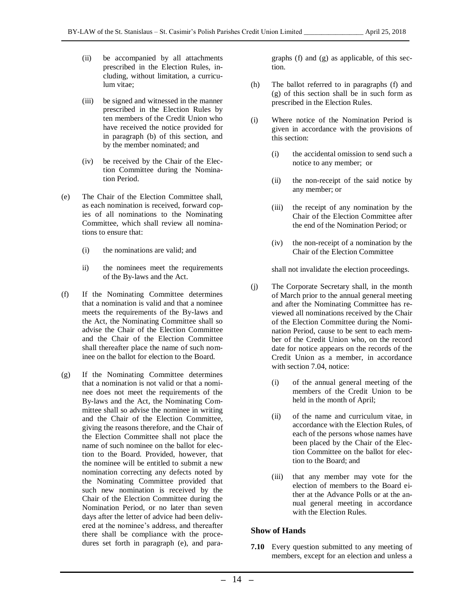- (ii) be accompanied by all attachments prescribed in the Election Rules, including, without limitation, a curriculum vitae;
- (iii) be signed and witnessed in the manner prescribed in the Election Rules by ten members of the Credit Union who have received the notice provided for in paragraph (b) of this section, and by the member nominated; and
- (iv) be received by the Chair of the Election Committee during the Nomination Period.
- (e) The Chair of the Election Committee shall, as each nomination is received, forward copies of all nominations to the Nominating Committee, which shall review all nominations to ensure that:
	- (i) the nominations are valid; and
	- ii) the nominees meet the requirements of the By-laws and the Act.
- (f) If the Nominating Committee determines that a nomination is valid and that a nominee meets the requirements of the By-laws and the Act, the Nominating Committee shall so advise the Chair of the Election Committee and the Chair of the Election Committee shall thereafter place the name of such nominee on the ballot for election to the Board.
- (g) If the Nominating Committee determines that a nomination is not valid or that a nominee does not meet the requirements of the By-laws and the Act, the Nominating Committee shall so advise the nominee in writing and the Chair of the Election Committee, giving the reasons therefore, and the Chair of the Election Committee shall not place the name of such nominee on the ballot for election to the Board. Provided, however, that the nominee will be entitled to submit a new nomination correcting any defects noted by the Nominating Committee provided that such new nomination is received by the Chair of the Election Committee during the Nomination Period, or no later than seven days after the letter of advice had been delivered at the nominee's address, and thereafter there shall be compliance with the procedures set forth in paragraph (e), and para-

graphs (f) and (g) as applicable, of this section.

- (h) The ballot referred to in paragraphs (f) and (g) of this section shall be in such form as prescribed in the Election Rules.
- (i) Where notice of the Nomination Period is given in accordance with the provisions of this section:
	- (i) the accidental omission to send such a notice to any member; or
	- (ii) the non-receipt of the said notice by any member; or
	- (iii) the receipt of any nomination by the Chair of the Election Committee after the end of the Nomination Period; or
	- (iv) the non-receipt of a nomination by the Chair of the Election Committee

shall not invalidate the election proceedings.

- (j) The Corporate Secretary shall, in the month of March prior to the annual general meeting and after the Nominating Committee has reviewed all nominations received by the Chair of the Election Committee during the Nomination Period, cause to be sent to each member of the Credit Union who, on the record date for notice appears on the records of the Credit Union as a member, in accordance with section 7.04, notice:
	- (i) of the annual general meeting of the members of the Credit Union to be held in the month of April;
	- (ii) of the name and curriculum vitae, in accordance with the Election Rules, of each of the persons whose names have been placed by the Chair of the Election Committee on the ballot for election to the Board; and
	- (iii) that any member may vote for the election of members to the Board either at the Advance Polls or at the annual general meeting in accordance with the Election Rules.

#### **Show of Hands**

**7.10** Every question submitted to any meeting of members, except for an election and unless a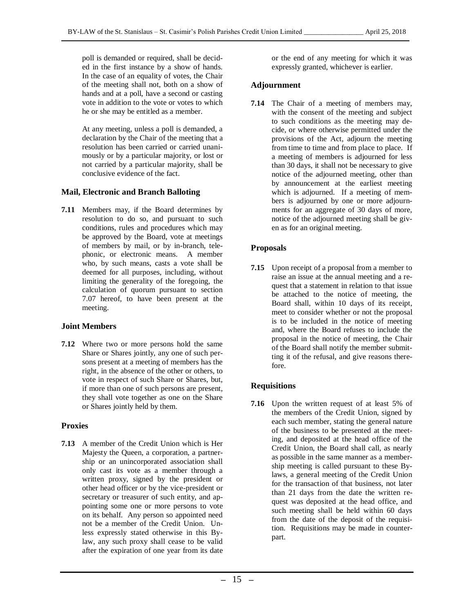poll is demanded or required, shall be decided in the first instance by a show of hands. In the case of an equality of votes, the Chair of the meeting shall not, both on a show of hands and at a poll, have a second or casting vote in addition to the vote or votes to which he or she may be entitled as a member.

At any meeting, unless a poll is demanded, a declaration by the Chair of the meeting that a resolution has been carried or carried unanimously or by a particular majority, or lost or not carried by a particular majority, shall be conclusive evidence of the fact.

#### **Mail, Electronic and Branch Balloting**

**7.11** Members may, if the Board determines by resolution to do so, and pursuant to such conditions, rules and procedures which may be approved by the Board, vote at meetings of members by mail, or by in-branch, telephonic, or electronic means. A member who, by such means, casts a vote shall be deemed for all purposes, including, without limiting the generality of the foregoing, the calculation of quorum pursuant to section 7.07 hereof, to have been present at the meeting.

#### **Joint Members**

**7.12** Where two or more persons hold the same Share or Shares jointly, any one of such persons present at a meeting of members has the right, in the absence of the other or others, to vote in respect of such Share or Shares, but, if more than one of such persons are present, they shall vote together as one on the Share or Shares jointly held by them.

#### **Proxies**

**7.13** A member of the Credit Union which is Her Majesty the Queen, a corporation, a partnership or an unincorporated association shall only cast its vote as a member through a written proxy, signed by the president or other head officer or by the vice-president or secretary or treasurer of such entity, and appointing some one or more persons to vote on its behalf. Any person so appointed need not be a member of the Credit Union. Unless expressly stated otherwise in this Bylaw, any such proxy shall cease to be valid after the expiration of one year from its date

or the end of any meeting for which it was expressly granted, whichever is earlier.

#### **Adjournment**

**7.14** The Chair of a meeting of members may, with the consent of the meeting and subject to such conditions as the meeting may decide, or where otherwise permitted under the provisions of the Act, adjourn the meeting from time to time and from place to place. If a meeting of members is adjourned for less than 30 days, it shall not be necessary to give notice of the adjourned meeting, other than by announcement at the earliest meeting which is adjourned. If a meeting of members is adjourned by one or more adjournments for an aggregate of 30 days of more, notice of the adjourned meeting shall be given as for an original meeting.

#### **Proposals**

**7.15** Upon receipt of a proposal from a member to raise an issue at the annual meeting and a request that a statement in relation to that issue be attached to the notice of meeting, the Board shall, within 10 days of its receipt, meet to consider whether or not the proposal is to be included in the notice of meeting and, where the Board refuses to include the proposal in the notice of meeting, the Chair of the Board shall notify the member submitting it of the refusal, and give reasons therefore.

#### **Requisitions**

**7.16** Upon the written request of at least 5% of the members of the Credit Union, signed by each such member, stating the general nature of the business to be presented at the meeting, and deposited at the head office of the Credit Union, the Board shall call, as nearly as possible in the same manner as a membership meeting is called pursuant to these Bylaws, a general meeting of the Credit Union for the transaction of that business, not later than 21 days from the date the written request was deposited at the head office, and such meeting shall be held within 60 days from the date of the deposit of the requisition. Requisitions may be made in counterpart.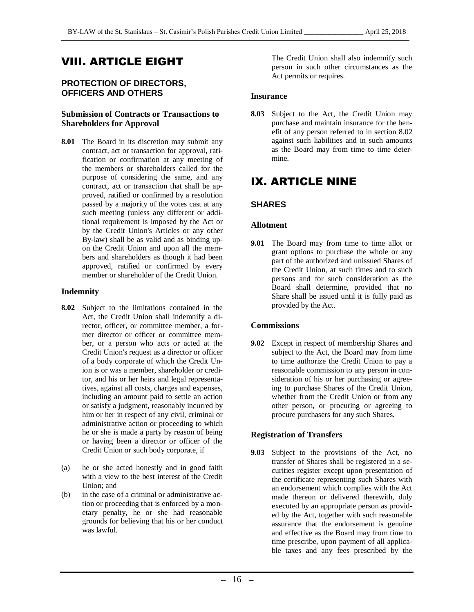## VIII. ARTICLE EIGHT

#### **PROTECTION OF DIRECTORS, OFFICERS AND OTHERS**

#### **Submission of Contracts or Transactions to Shareholders for Approval**

**8.01** The Board in its discretion may submit any contract, act or transaction for approval, ratification or confirmation at any meeting of the members or shareholders called for the purpose of considering the same, and any contract, act or transaction that shall be approved, ratified or confirmed by a resolution passed by a majority of the votes cast at any such meeting (unless any different or additional requirement is imposed by the Act or by the Credit Union's Articles or any other By-law) shall be as valid and as binding upon the Credit Union and upon all the members and shareholders as though it had been approved, ratified or confirmed by every member or shareholder of the Credit Union.

#### **Indemnity**

- **8.02** Subject to the limitations contained in the Act, the Credit Union shall indemnify a director, officer, or committee member, a former director or officer or committee member, or a person who acts or acted at the Credit Union's request as a director or officer of a body corporate of which the Credit Union is or was a member, shareholder or creditor, and his or her heirs and legal representatives, against all costs, charges and expenses, including an amount paid to settle an action or satisfy a judgment, reasonably incurred by him or her in respect of any civil, criminal or administrative action or proceeding to which he or she is made a party by reason of being or having been a director or officer of the Credit Union or such body corporate, if
- (a) he or she acted honestly and in good faith with a view to the best interest of the Credit Union; and
- (b) in the case of a criminal or administrative action or proceeding that is enforced by a monetary penalty, he or she had reasonable grounds for believing that his or her conduct was lawful.

The Credit Union shall also indemnify such person in such other circumstances as the Act permits or requires.

#### <span id="page-15-0"></span>**Insurance**

**8.03** Subject to the Act, the Credit Union may purchase and maintain insurance for the benefit of any person referred to in section 8.02 against such liabilities and in such amounts as the Board may from time to time determine.

## IX. ARTICLE NINE

#### <span id="page-15-1"></span>**SHARES**

#### **Allotment**

**9.01** The Board may from time to time allot or grant options to purchase the whole or any part of the authorized and unissued Shares of the Credit Union, at such times and to such persons and for such consideration as the Board shall determine, provided that no Share shall be issued until it is fully paid as provided by the Act.

#### **Commissions**

**9.02** Except in respect of membership Shares and subject to the Act, the Board may from time to time authorize the Credit Union to pay a reasonable commission to any person in consideration of his or her purchasing or agreeing to purchase Shares of the Credit Union, whether from the Credit Union or from any other person, or procuring or agreeing to procure purchasers for any such Shares.

#### **Registration of Transfers**

**9.03** Subject to the provisions of the Act, no transfer of Shares shall be registered in a securities register except upon presentation of the certificate representing such Shares with an endorsement which complies with the Act made thereon or delivered therewith, duly executed by an appropriate person as provided by the Act, together with such reasonable assurance that the endorsement is genuine and effective as the Board may from time to time prescribe, upon payment of all applicable taxes and any fees prescribed by the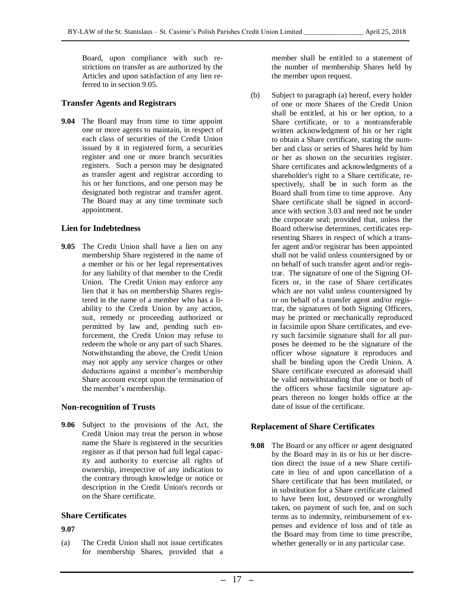Board, upon compliance with such restrictions on transfer as are authorized by the Articles and upon satisfaction of any lien re-

#### **Transfer Agents and Registrars**

ferred to in section 9.05.

**9.04** The Board may from time to time appoint one or more agents to maintain, in respect of each class of securities of the Credit Union issued by it in registered form, a securities register and one or more branch securities registers. Such a person may be designated as transfer agent and registrar according to his or her functions, and one person may be designated both registrar and transfer agent. The Board may at any time terminate such appointment.

#### **Lien for Indebtedness**

**9.05** The Credit Union shall have a lien on any membership Share registered in the name of a member or his or her legal representatives for any liability of that member to the Credit Union. The Credit Union may enforce any lien that it has on membership Shares registered in the name of a member who has a liability to the Credit Union by any action, suit, remedy or proceeding authorized or permitted by law and, pending such enforcement, the Credit Union may refuse to redeem the whole or any part of such Shares. Notwithstanding the above, the Credit Union may not apply any service charges or other deductions against a member's membership Share account except upon the termination of the member's membership.

#### **Non-recognition of Trusts**

**9.06** Subject to the provisions of the Act, the Credit Union may treat the person in whose name the Share is registered in the securities register as if that person had full legal capacity and authority to exercise all rights of ownership, irrespective of any indication to the contrary through knowledge or notice or description in the Credit Union's records or on the Share certificate.

#### **Share Certificates**

#### **9.07**

(a) The Credit Union shall not issue certificates for membership Shares, provided that a member shall be entitled to a statement of the number of membership Shares held by the member upon request.

(b) Subject to paragraph (a) hereof, every holder of one or more Shares of the Credit Union shall be entitled, at his or her option, to a Share certificate, or to a nontransferable written acknowledgment of his or her right to obtain a Share certificate, stating the number and class or series of Shares held by him or her as shown on the securities register. Share certificates and acknowledgments of a shareholder's right to a Share certificate, respectively, shall be in such form as the Board shall from time to time approve. Any Share certificate shall be signed in accordance with section 3.03 and need not be under the corporate seal; provided that, unless the Board otherwise determines, certificates representing Shares in respect of which a transfer agent and/or registrar has been appointed shall not be valid unless countersigned by or on behalf of such transfer agent and/or registrar. The signature of one of the Signing Officers or, in the case of Share certificates which are not valid unless countersigned by or on behalf of a transfer agent and/or registrar, the signatures of both Signing Officers, may be printed or mechanically reproduced in facsimile upon Share certificates, and every such facsimile signature shall for all purposes be deemed to be the signature of the officer whose signature it reproduces and shall be binding upon the Credit Union. A Share certificate executed as aforesaid shall be valid notwithstanding that one or both of the officers whose facsimile signature appears thereon no longer holds office at the date of issue of the certificate.

#### **Replacement of Share Certificates**

**9.08** The Board or any officer or agent designated by the Board may in its or his or her discretion direct the issue of a new Share certificate in lieu of and upon cancellation of a Share certificate that has been mutilated, or in substitution for a Share certificate claimed to have been lost, destroyed or wrongfully taken, on payment of such fee, and on such terms as to indemnity, reimbursement of expenses and evidence of loss and of title as the Board may from time to time prescribe, whether generally or in any particular case.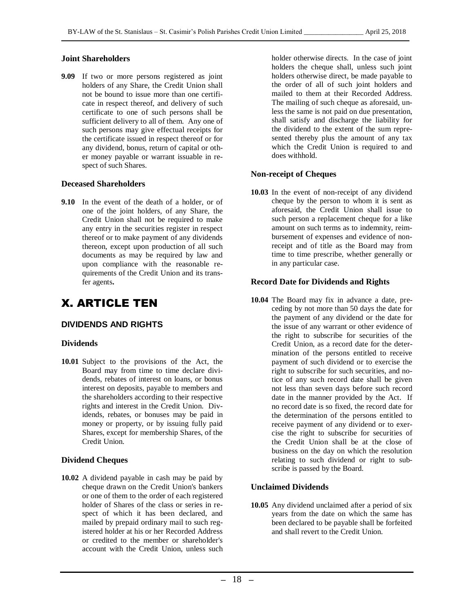#### **Joint Shareholders**

**9.09** If two or more persons registered as joint holders of any Share, the Credit Union shall not be bound to issue more than one certificate in respect thereof, and delivery of such certificate to one of such persons shall be sufficient delivery to all of them. Any one of such persons may give effectual receipts for the certificate issued in respect thereof or for any dividend, bonus, return of capital or other money payable or warrant issuable in respect of such Shares.

#### **Deceased Shareholders**

**9.10** In the event of the death of a holder, or of one of the joint holders, of any Share, the Credit Union shall not be required to make any entry in the securities register in respect thereof or to make payment of any dividends thereon, except upon production of all such documents as may be required by law and upon compliance with the reasonable requirements of the Credit Union and its transfer agents**.**

## X. ARTICLE TEN

#### <span id="page-17-0"></span>**DIVIDENDS AND RIGHTS**

#### **Dividends**

**10.01** Subject to the provisions of the Act, the Board may from time to time declare dividends, rebates of interest on loans, or bonus interest on deposits, payable to members and the shareholders according to their respective rights and interest in the Credit Union. Dividends, rebates, or bonuses may be paid in money or property, or by issuing fully paid Shares, except for membership Shares, of the Credit Union.

#### **Dividend Cheques**

**10.02** A dividend payable in cash may be paid by cheque drawn on the Credit Union's bankers or one of them to the order of each registered holder of Shares of the class or series in respect of which it has been declared, and mailed by prepaid ordinary mail to such registered holder at his or her Recorded Address or credited to the member or shareholder's account with the Credit Union, unless such holder otherwise directs. In the case of joint holders the cheque shall, unless such joint holders otherwise direct, be made payable to the order of all of such joint holders and mailed to them at their Recorded Address. The mailing of such cheque as aforesaid, unless the same is not paid on due presentation, shall satisfy and discharge the liability for the dividend to the extent of the sum represented thereby plus the amount of any tax which the Credit Union is required to and does withhold.

#### **Non-receipt of Cheques**

**10.03** In the event of non-receipt of any dividend cheque by the person to whom it is sent as aforesaid, the Credit Union shall issue to such person a replacement cheque for a like amount on such terms as to indemnity, reimbursement of expenses and evidence of nonreceipt and of title as the Board may from time to time prescribe, whether generally or in any particular case.

#### **Record Date for Dividends and Rights**

**10.04** The Board may fix in advance a date, preceding by not more than 50 days the date for the payment of any dividend or the date for the issue of any warrant or other evidence of the right to subscribe for securities of the Credit Union, as a record date for the determination of the persons entitled to receive payment of such dividend or to exercise the right to subscribe for such securities, and notice of any such record date shall be given not less than seven days before such record date in the manner provided by the Act. If no record date is so fixed, the record date for the determination of the persons entitled to receive payment of any dividend or to exercise the right to subscribe for securities of the Credit Union shall be at the close of business on the day on which the resolution relating to such dividend or right to subscribe is passed by the Board.

#### **Unclaimed Dividends**

**10.05** Any dividend unclaimed after a period of six years from the date on which the same has been declared to be payable shall be forfeited and shall revert to the Credit Union.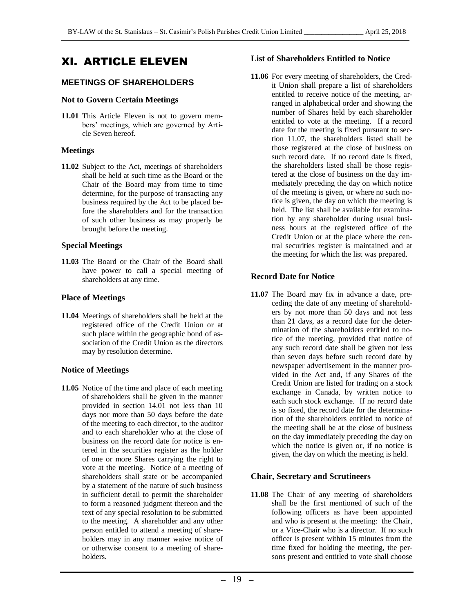## XI. ARTICLE ELEVEN

#### <span id="page-18-0"></span>**MEETINGS OF SHAREHOLDERS**

#### **Not to Govern Certain Meetings**

**11.01** This Article Eleven is not to govern members' meetings, which are governed by Article Seven hereof.

#### **Meetings**

**11.02** Subject to the Act, meetings of shareholders shall be held at such time as the Board or the Chair of the Board may from time to time determine, for the purpose of transacting any business required by the Act to be placed before the shareholders and for the transaction of such other business as may properly be brought before the meeting.

#### **Special Meetings**

**11.03** The Board or the Chair of the Board shall have power to call a special meeting of shareholders at any time.

#### **Place of Meetings**

**11.04** Meetings of shareholders shall be held at the registered office of the Credit Union or at such place within the geographic bond of association of the Credit Union as the directors may by resolution determine.

#### **Notice of Meetings**

**11.05** Notice of the time and place of each meeting of shareholders shall be given in the manner provided in section 14.01 not less than 10 days nor more than 50 days before the date of the meeting to each director, to the auditor and to each shareholder who at the close of business on the record date for notice is entered in the securities register as the holder of one or more Shares carrying the right to vote at the meeting. Notice of a meeting of shareholders shall state or be accompanied by a statement of the nature of such business in sufficient detail to permit the shareholder to form a reasoned judgment thereon and the text of any special resolution to be submitted to the meeting. A shareholder and any other person entitled to attend a meeting of shareholders may in any manner waive notice of or otherwise consent to a meeting of shareholders.

#### **List of Shareholders Entitled to Notice**

**11.06** For every meeting of shareholders, the Credit Union shall prepare a list of shareholders entitled to receive notice of the meeting, arranged in alphabetical order and showing the number of Shares held by each shareholder entitled to vote at the meeting. If a record date for the meeting is fixed pursuant to section 11.07, the shareholders listed shall be those registered at the close of business on such record date. If no record date is fixed, the shareholders listed shall be those registered at the close of business on the day immediately preceding the day on which notice of the meeting is given, or where no such notice is given, the day on which the meeting is held. The list shall be available for examination by any shareholder during usual business hours at the registered office of the Credit Union or at the place where the central securities register is maintained and at the meeting for which the list was prepared.

#### **Record Date for Notice**

**11.07** The Board may fix in advance a date, preceding the date of any meeting of shareholders by not more than 50 days and not less than 21 days, as a record date for the determination of the shareholders entitled to notice of the meeting, provided that notice of any such record date shall be given not less than seven days before such record date by newspaper advertisement in the manner provided in the Act and, if any Shares of the Credit Union are listed for trading on a stock exchange in Canada, by written notice to each such stock exchange. If no record date is so fixed, the record date for the determination of the shareholders entitled to notice of the meeting shall be at the close of business on the day immediately preceding the day on which the notice is given or, if no notice is given, the day on which the meeting is held.

#### **Chair, Secretary and Scrutineers**

**11.08** The Chair of any meeting of shareholders shall be the first mentioned of such of the following officers as have been appointed and who is present at the meeting: the Chair, or a Vice-Chair who is a director. If no such officer is present within 15 minutes from the time fixed for holding the meeting, the persons present and entitled to vote shall choose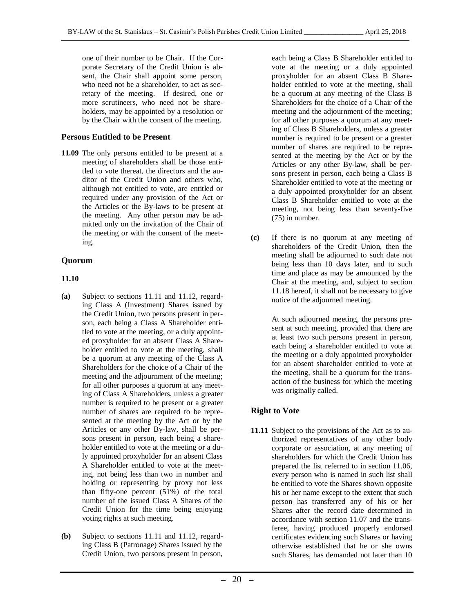one of their number to be Chair. If the Corporate Secretary of the Credit Union is absent, the Chair shall appoint some person, who need not be a shareholder, to act as secretary of the meeting. If desired, one or more scrutineers, who need not be shareholders, may be appointed by a resolution or by the Chair with the consent of the meeting.

#### **Persons Entitled to be Present**

**11.09** The only persons entitled to be present at a meeting of shareholders shall be those entitled to vote thereat, the directors and the auditor of the Credit Union and others who, although not entitled to vote, are entitled or required under any provision of the Act or the Articles or the By-laws to be present at the meeting. Any other person may be admitted only on the invitation of the Chair of the meeting or with the consent of the meeting.

#### **Quorum**

#### **11.10**

- **(a)** Subject to sections 11.11 and 11.12, regarding Class A (Investment) Shares issued by the Credit Union, two persons present in person, each being a Class A Shareholder entitled to vote at the meeting, or a duly appointed proxyholder for an absent Class A Shareholder entitled to vote at the meeting, shall be a quorum at any meeting of the Class A Shareholders for the choice of a Chair of the meeting and the adjournment of the meeting; for all other purposes a quorum at any meeting of Class A Shareholders, unless a greater number is required to be present or a greater number of shares are required to be represented at the meeting by the Act or by the Articles or any other By-law, shall be persons present in person, each being a shareholder entitled to vote at the meeting or a duly appointed proxyholder for an absent Class A Shareholder entitled to vote at the meeting, not being less than two in number and holding or representing by proxy not less than fifty-one percent (51%) of the total number of the issued Class A Shares of the Credit Union for the time being enjoying voting rights at such meeting.
- **(b)** Subject to sections 11.11 and 11.12, regarding Class B (Patronage) Shares issued by the Credit Union, two persons present in person,

each being a Class B Shareholder entitled to vote at the meeting or a duly appointed proxyholder for an absent Class B Shareholder entitled to vote at the meeting, shall be a quorum at any meeting of the Class B Shareholders for the choice of a Chair of the meeting and the adjournment of the meeting; for all other purposes a quorum at any meeting of Class B Shareholders, unless a greater number is required to be present or a greater number of shares are required to be represented at the meeting by the Act or by the Articles or any other By-law, shall be persons present in person, each being a Class B Shareholder entitled to vote at the meeting or a duly appointed proxyholder for an absent Class B Shareholder entitled to vote at the meeting, not being less than seventy-five (75) in number.

**(c)** If there is no quorum at any meeting of shareholders of the Credit Union, then the meeting shall be adjourned to such date not being less than 10 days later, and to such time and place as may be announced by the Chair at the meeting, and, subject to section 11.18 hereof, it shall not be necessary to give notice of the adjourned meeting.

> At such adjourned meeting, the persons present at such meeting, provided that there are at least two such persons present in person, each being a shareholder entitled to vote at the meeting or a duly appointed proxyholder for an absent shareholder entitled to vote at the meeting, shall be a quorum for the transaction of the business for which the meeting was originally called.

#### **Right to Vote**

**11.11** Subject to the provisions of the Act as to authorized representatives of any other body corporate or association, at any meeting of shareholders for which the Credit Union has prepared the list referred to in section 11.06, every person who is named in such list shall be entitled to vote the Shares shown opposite his or her name except to the extent that such person has transferred any of his or her Shares after the record date determined in accordance with section 11.07 and the transferee, having produced properly endorsed certificates evidencing such Shares or having otherwise established that he or she owns such Shares, has demanded not later than 10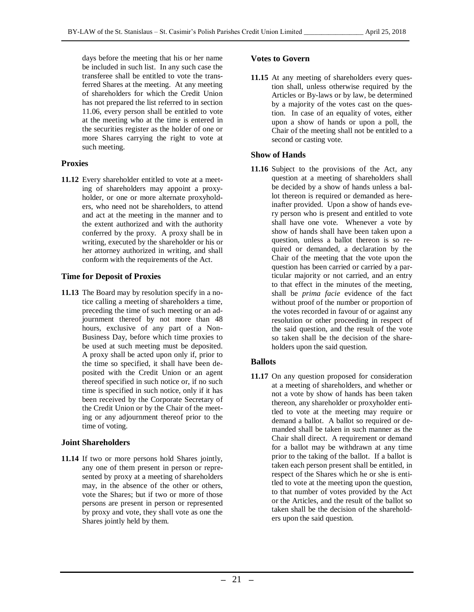days before the meeting that his or her name be included in such list. In any such case the transferee shall be entitled to vote the transferred Shares at the meeting. At any meeting of shareholders for which the Credit Union has not prepared the list referred to in section 11.06, every person shall be entitled to vote at the meeting who at the time is entered in the securities register as the holder of one or more Shares carrying the right to vote at such meeting.

#### **Proxies**

**11.12** Every shareholder entitled to vote at a meeting of shareholders may appoint a proxyholder, or one or more alternate proxyholders, who need not be shareholders, to attend and act at the meeting in the manner and to the extent authorized and with the authority conferred by the proxy. A proxy shall be in writing, executed by the shareholder or his or her attorney authorized in writing, and shall conform with the requirements of the Act.

#### **Time for Deposit of Proxies**

**11.13** The Board may by resolution specify in a notice calling a meeting of shareholders a time, preceding the time of such meeting or an adjournment thereof by not more than 48 hours, exclusive of any part of a Non-Business Day, before which time proxies to be used at such meeting must be deposited. A proxy shall be acted upon only if, prior to the time so specified, it shall have been deposited with the Credit Union or an agent thereof specified in such notice or, if no such time is specified in such notice, only if it has been received by the Corporate Secretary of the Credit Union or by the Chair of the meeting or any adjournment thereof prior to the time of voting.

#### **Joint Shareholders**

**11.14** If two or more persons hold Shares jointly, any one of them present in person or represented by proxy at a meeting of shareholders may, in the absence of the other or others, vote the Shares; but if two or more of those persons are present in person or represented by proxy and vote, they shall vote as one the Shares jointly held by them.

#### **Votes to Govern**

**11.15** At any meeting of shareholders every question shall, unless otherwise required by the Articles or By-laws or by law, be determined by a majority of the votes cast on the question. In case of an equality of votes, either upon a show of hands or upon a poll, the Chair of the meeting shall not be entitled to a second or casting vote.

#### **Show of Hands**

**11.16** Subject to the provisions of the Act, any question at a meeting of shareholders shall be decided by a show of hands unless a ballot thereon is required or demanded as hereinafter provided. Upon a show of hands every person who is present and entitled to vote shall have one vote. Whenever a vote by show of hands shall have been taken upon a question, unless a ballot thereon is so required or demanded, a declaration by the Chair of the meeting that the vote upon the question has been carried or carried by a particular majority or not carried, and an entry to that effect in the minutes of the meeting, shall be *prima facie* evidence of the fact without proof of the number or proportion of the votes recorded in favour of or against any resolution or other proceeding in respect of the said question, and the result of the vote so taken shall be the decision of the shareholders upon the said question.

#### **Ballots**

**11.17** On any question proposed for consideration at a meeting of shareholders, and whether or not a vote by show of hands has been taken thereon, any shareholder or proxyholder entitled to vote at the meeting may require or demand a ballot. A ballot so required or demanded shall be taken in such manner as the Chair shall direct. A requirement or demand for a ballot may be withdrawn at any time prior to the taking of the ballot. If a ballot is taken each person present shall be entitled, in respect of the Shares which he or she is entitled to vote at the meeting upon the question, to that number of votes provided by the Act or the Articles, and the result of the ballot so taken shall be the decision of the shareholders upon the said question.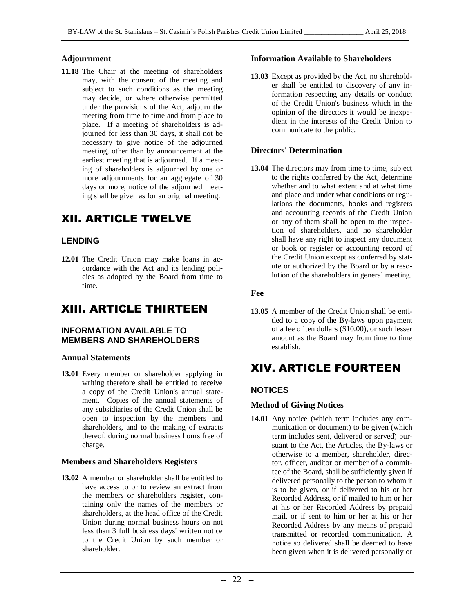#### **Adjournment**

**11.18** The Chair at the meeting of shareholders may, with the consent of the meeting and subject to such conditions as the meeting may decide, or where otherwise permitted under the provisions of the Act, adjourn the meeting from time to time and from place to place. If a meeting of shareholders is adjourned for less than 30 days, it shall not be necessary to give notice of the adjourned meeting, other than by announcement at the earliest meeting that is adjourned. If a meeting of shareholders is adjourned by one or more adjournments for an aggregate of 30 days or more, notice of the adjourned meeting shall be given as for an original meeting.

## XII. ARTICLE TWELVE

#### <span id="page-21-0"></span>**LENDING**

**12.01** The Credit Union may make loans in accordance with the Act and its lending policies as adopted by the Board from time to time.

## XIII. ARTICLE THIRTEEN

#### <span id="page-21-1"></span>**INFORMATION AVAILABLE TO MEMBERS AND SHAREHOLDERS**

#### **Annual Statements**

**13.01** Every member or shareholder applying in writing therefore shall be entitled to receive a copy of the Credit Union's annual statement. Copies of the annual statements of any subsidiaries of the Credit Union shall be open to inspection by the members and shareholders, and to the making of extracts thereof, during normal business hours free of charge.

#### **Members and Shareholders Registers**

**13.02** A member or shareholder shall be entitled to have access to or to review an extract from the members or shareholders register, containing only the names of the members or shareholders, at the head office of the Credit Union during normal business hours on not less than 3 full business days' written notice to the Credit Union by such member or shareholder.

#### **Information Available to Shareholders**

**13.03** Except as provided by the Act, no shareholder shall be entitled to discovery of any information respecting any details or conduct of the Credit Union's business which in the opinion of the directors it would be inexpedient in the interests of the Credit Union to communicate to the public.

#### **Directors' Determination**

**13.04** The directors may from time to time, subject to the rights conferred by the Act, determine whether and to what extent and at what time and place and under what conditions or regulations the documents, books and registers and accounting records of the Credit Union or any of them shall be open to the inspection of shareholders, and no shareholder shall have any right to inspect any document or book or register or accounting record of the Credit Union except as conferred by statute or authorized by the Board or by a resolution of the shareholders in general meeting.

**Fee**

**13.05** A member of the Credit Union shall be entitled to a copy of the By-laws upon payment of a fee of ten dollars (\$10.00), or such lesser amount as the Board may from time to time establish.

## XIV. ARTICLE FOURTEEN

#### <span id="page-21-2"></span>**NOTICES**

#### **Method of Giving Notices**

**14.01** Any notice (which term includes any communication or document) to be given (which term includes sent, delivered or served) pursuant to the Act, the Articles, the By-laws or otherwise to a member, shareholder, director, officer, auditor or member of a committee of the Board, shall be sufficiently given if delivered personally to the person to whom it is to be given, or if delivered to his or her Recorded Address, or if mailed to him or her at his or her Recorded Address by prepaid mail, or if sent to him or her at his or her Recorded Address by any means of prepaid transmitted or recorded communication. A notice so delivered shall be deemed to have been given when it is delivered personally or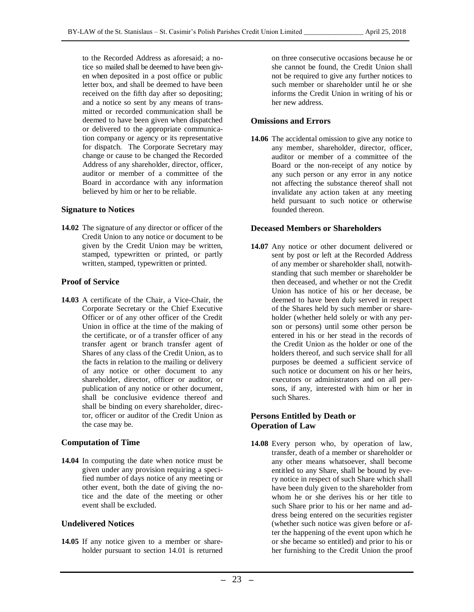to the Recorded Address as aforesaid; a notice so mailed shall be deemed to have been given when deposited in a post office or public letter box, and shall be deemed to have been received on the fifth day after so depositing; and a notice so sent by any means of transmitted or recorded communication shall be deemed to have been given when dispatched or delivered to the appropriate communication company or agency or its representative for dispatch. The Corporate Secretary may change or cause to be changed the Recorded Address of any shareholder, director, officer, auditor or member of a committee of the Board in accordance with any information believed by him or her to be reliable.

#### **Signature to Notices**

**14.02** The signature of any director or officer of the Credit Union to any notice or document to be given by the Credit Union may be written, stamped, typewritten or printed, or partly written, stamped, typewritten or printed.

#### **Proof of Service**

**14.03** A certificate of the Chair, a Vice-Chair, the Corporate Secretary or the Chief Executive Officer or of any other officer of the Credit Union in office at the time of the making of the certificate, or of a transfer officer of any transfer agent or branch transfer agent of Shares of any class of the Credit Union, as to the facts in relation to the mailing or delivery of any notice or other document to any shareholder, director, officer or auditor, or publication of any notice or other document, shall be conclusive evidence thereof and shall be binding on every shareholder, director, officer or auditor of the Credit Union as the case may be.

#### **Computation of Time**

**14.04** In computing the date when notice must be given under any provision requiring a specified number of days notice of any meeting or other event, both the date of giving the notice and the date of the meeting or other event shall be excluded.

#### **Undelivered Notices**

**14.05** If any notice given to a member or shareholder pursuant to section 14.01 is returned on three consecutive occasions because he or she cannot be found, the Credit Union shall not be required to give any further notices to such member or shareholder until he or she informs the Credit Union in writing of his or her new address.

#### **Omissions and Errors**

**14.06** The accidental omission to give any notice to any member, shareholder, director, officer, auditor or member of a committee of the Board or the non-receipt of any notice by any such person or any error in any notice not affecting the substance thereof shall not invalidate any action taken at any meeting held pursuant to such notice or otherwise founded thereon.

#### **Deceased Members or Shareholders**

**14.07** Any notice or other document delivered or sent by post or left at the Recorded Address of any member or shareholder shall, notwithstanding that such member or shareholder be then deceased, and whether or not the Credit Union has notice of his or her decease, be deemed to have been duly served in respect of the Shares held by such member or shareholder (whether held solely or with any person or persons) until some other person be entered in his or her stead in the records of the Credit Union as the holder or one of the holders thereof, and such service shall for all purposes be deemed a sufficient service of such notice or document on his or her heirs, executors or administrators and on all persons, if any, interested with him or her in such Shares.

#### **Persons Entitled by Death or Operation of Law**

**14.08** Every person who, by operation of law, transfer, death of a member or shareholder or any other means whatsoever, shall become entitled to any Share, shall be bound by every notice in respect of such Share which shall have been duly given to the shareholder from whom he or she derives his or her title to such Share prior to his or her name and address being entered on the securities register (whether such notice was given before or after the happening of the event upon which he or she became so entitled) and prior to his or her furnishing to the Credit Union the proof